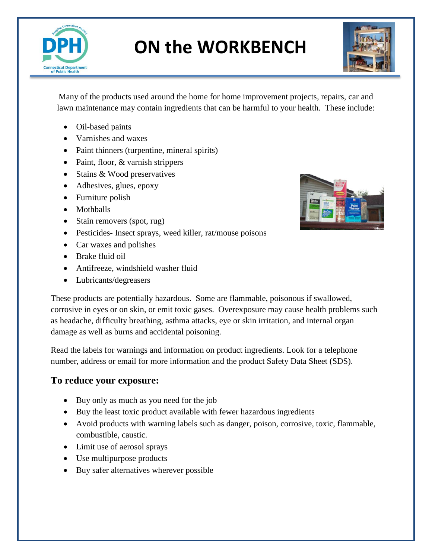

# **ON the WORKBENCH**



Many of the products used around the home for home improvement projects, repairs, car and lawn maintenance may contain ingredients that can be harmful to your health. These include:

- Oil-based paints
- Varnishes and waxes
- Paint thinners (turpentine, mineral spirits)
- Paint, floor, & varnish strippers
- Stains & Wood preservatives
- Adhesives, glues, epoxy
- Furniture polish
- Mothballs
- Stain removers (spot, rug)
- Pesticides- Insect sprays, weed killer, rat/mouse poisons
- Car waxes and polishes
- Brake fluid oil
- Antifreeze, windshield washer fluid
- Lubricants/degreasers



These products are potentially hazardous. Some are flammable, poisonous if swallowed, corrosive in eyes or on skin, or emit toxic gases. Overexposure may cause health problems such as headache, difficulty breathing, asthma attacks, eye or skin irritation, and internal organ damage as well as burns and accidental poisoning.

Read the labels for warnings and information on product ingredients. Look for a telephone number, address or email for more information and the product Safety Data Sheet (SDS).

## **To reduce your exposure:**

- Buy only as much as you need for the job
- Buy the least toxic product available with fewer hazardous ingredients
- Avoid products with warning labels such as danger, poison, corrosive, toxic, flammable, combustible, caustic.
- Limit use of aerosol sprays
- Use multipurpose products
- Buy safer alternatives wherever possible